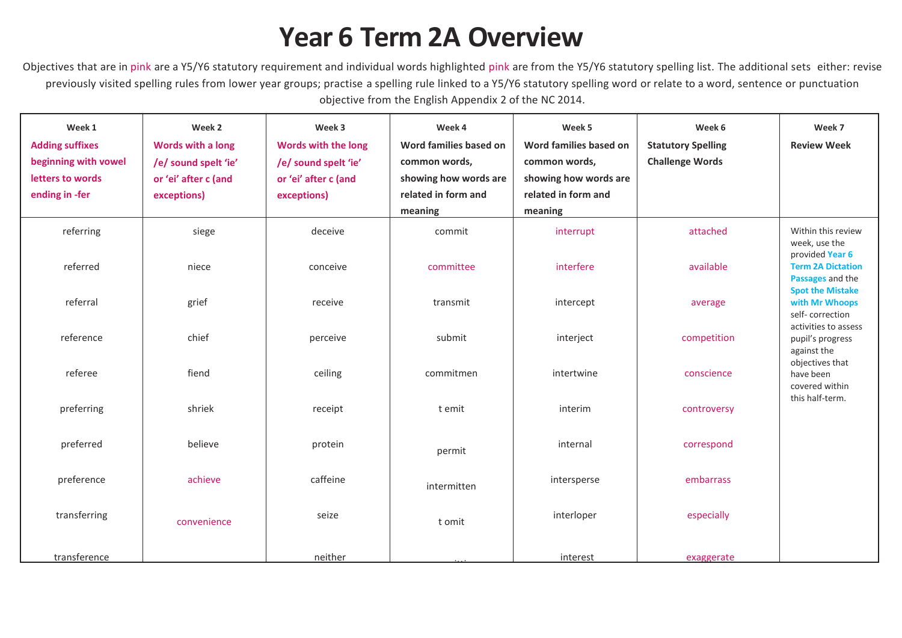## **Year 6 Term 2A Overview**

Objectives that are in pink are a Y5/Y6 statutory requirement and individual words highlighted pink are from the Y5/Y6 statutory spelling list. The additional sets either: revise previously visited spelling rules from lower year groups; practise a spelling rule linked to a Y5/Y6 statutory spelling word or relate to a word, sentence or punctuation objective from the English Appendix 2 of the NC 2014.

| Week 1<br><b>Adding suffixes</b><br>beginning with vowel<br>letters to words<br>ending in -fer | Week 2<br>Words with a long<br>/e/ sound spelt 'ie'<br>or 'ei' after c (and<br>exceptions) | Week 3<br><b>Words with the long</b><br>/e/ sound spelt 'ie'<br>or 'ei' after c (and<br>exceptions) | Week 4<br>Word families based on<br>common words,<br>showing how words are<br>related in form and<br>meaning | Week 5<br>Word families based on<br>common words,<br>showing how words are<br>related in form and<br>meaning | Week 6<br><b>Statutory Spelling</b><br><b>Challenge Words</b> | Week 7<br><b>Review Week</b>                                            |
|------------------------------------------------------------------------------------------------|--------------------------------------------------------------------------------------------|-----------------------------------------------------------------------------------------------------|--------------------------------------------------------------------------------------------------------------|--------------------------------------------------------------------------------------------------------------|---------------------------------------------------------------|-------------------------------------------------------------------------|
| referring                                                                                      | siege                                                                                      | deceive                                                                                             | commit                                                                                                       | interrupt                                                                                                    | attached                                                      | Within this review<br>week, use the<br>provided Year 6                  |
| referred                                                                                       | niece                                                                                      | conceive                                                                                            | committee                                                                                                    | interfere                                                                                                    | available                                                     | <b>Term 2A Dictation</b><br>Passages and the<br><b>Spot the Mistake</b> |
| referral                                                                                       | grief                                                                                      | receive                                                                                             | transmit                                                                                                     | intercept                                                                                                    | average                                                       | with Mr Whoops<br>self-correction<br>activities to assess               |
| reference                                                                                      | chief                                                                                      | perceive                                                                                            | submit                                                                                                       | interject                                                                                                    | competition                                                   | pupil's progress<br>against the                                         |
| referee                                                                                        | fiend                                                                                      | ceiling                                                                                             | commitmen                                                                                                    | intertwine                                                                                                   | conscience                                                    | objectives that<br>have been<br>covered within                          |
| preferring                                                                                     | shriek                                                                                     | receipt                                                                                             | t emit                                                                                                       | interim                                                                                                      | controversy                                                   | this half-term.                                                         |
| preferred                                                                                      | believe                                                                                    | protein                                                                                             | permit                                                                                                       | internal                                                                                                     | correspond                                                    |                                                                         |
| preference                                                                                     | achieve                                                                                    | caffeine                                                                                            | intermitten                                                                                                  | intersperse                                                                                                  | embarrass                                                     |                                                                         |
| transferring                                                                                   | convenience                                                                                | seize                                                                                               | t omit                                                                                                       | interloper                                                                                                   | especially                                                    |                                                                         |
| transference                                                                                   |                                                                                            | neither                                                                                             |                                                                                                              | interest                                                                                                     | exaggerate                                                    |                                                                         |